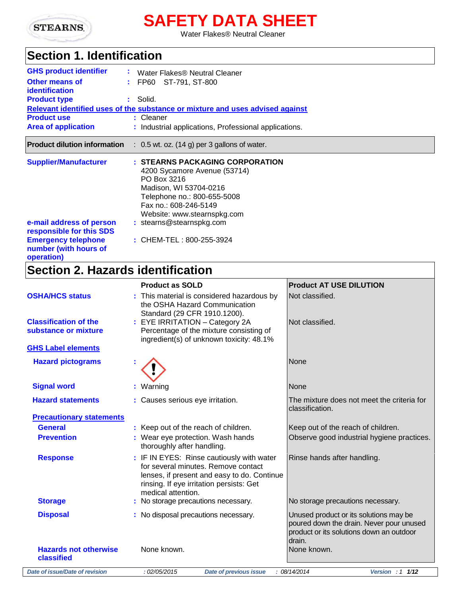

# **SAFETY DATA SHEET**

Water Flakes® Neutral Cleaner

### **Section 1. Identification**

| <b>GHS product identifier</b><br><b>Other means of</b><br><i>identification</i><br><b>Product type</b> | Water Flakes® Neutral Cleaner<br>: FP60 ST-791, ST-800<br>: Solid.<br>Relevant identified uses of the substance or mixture and uses advised against                                             |
|--------------------------------------------------------------------------------------------------------|-------------------------------------------------------------------------------------------------------------------------------------------------------------------------------------------------|
| <b>Product use</b>                                                                                     | : Cleaner                                                                                                                                                                                       |
| <b>Area of application</b>                                                                             | : Industrial applications, Professional applications.                                                                                                                                           |
| <b>Product dilution information</b>                                                                    | $\therefore$ 0.5 wt. oz. (14 g) per 3 gallons of water.                                                                                                                                         |
| <b>Supplier/Manufacturer</b>                                                                           | : STEARNS PACKAGING CORPORATION<br>4200 Sycamore Avenue (53714)<br>PO Box 3216<br>Madison, WI 53704-0216<br>Telephone no.: 800-655-5008<br>Fax no.: 608-246-5149<br>Website: www.stearnspkg.com |
| e-mail address of person<br>responsible for this SDS                                                   | : stearns@stearnspkg.com                                                                                                                                                                        |
| <b>Emergency telephone</b><br>number (with hours of<br>operation)                                      | : CHEM-TEL: 800-255-3924                                                                                                                                                                        |
| .                                                                                                      | .                                                                                                                                                                                               |

### **Section 2. Hazards identification**

|                                                      | <b>Product as SOLD</b>                                                                                                                                                                            | <b>Product AT USE DILUTION</b>                                                                                                           |
|------------------------------------------------------|---------------------------------------------------------------------------------------------------------------------------------------------------------------------------------------------------|------------------------------------------------------------------------------------------------------------------------------------------|
| <b>OSHA/HCS status</b>                               | : This material is considered hazardous by<br>the OSHA Hazard Communication<br>Standard (29 CFR 1910.1200).                                                                                       | Not classified.                                                                                                                          |
| <b>Classification of the</b><br>substance or mixture | : EYE IRRITATION - Category 2A<br>Percentage of the mixture consisting of<br>ingredient(s) of unknown toxicity: 48.1%                                                                             | Not classified.                                                                                                                          |
| <b>GHS Label elements</b>                            |                                                                                                                                                                                                   |                                                                                                                                          |
| <b>Hazard pictograms</b>                             |                                                                                                                                                                                                   | <b>None</b>                                                                                                                              |
| <b>Signal word</b>                                   | : Warning                                                                                                                                                                                         | None                                                                                                                                     |
| <b>Hazard statements</b>                             | : Causes serious eye irritation.                                                                                                                                                                  | The mixture does not meet the criteria for<br>classification.                                                                            |
| <b>Precautionary statements</b>                      |                                                                                                                                                                                                   |                                                                                                                                          |
| <b>General</b>                                       | : Keep out of the reach of children.                                                                                                                                                              | Keep out of the reach of children.                                                                                                       |
| <b>Prevention</b>                                    | : Wear eye protection. Wash hands<br>thoroughly after handling.                                                                                                                                   | Observe good industrial hygiene practices.                                                                                               |
| <b>Response</b>                                      | : IF IN EYES: Rinse cautiously with water<br>for several minutes. Remove contact<br>lenses, if present and easy to do. Continue<br>rinsing. If eye irritation persists: Get<br>medical attention. | Rinse hands after handling.                                                                                                              |
| <b>Storage</b>                                       | : No storage precautions necessary.                                                                                                                                                               | No storage precautions necessary.                                                                                                        |
| <b>Disposal</b>                                      | : No disposal precautions necessary.                                                                                                                                                              | Unused product or its solutions may be<br>poured down the drain. Never pour unused<br>product or its solutions down an outdoor<br>drain. |
| <b>Hazards not otherwise</b><br>classified           | None known.                                                                                                                                                                                       | None known.                                                                                                                              |
| Date of issue/Date of revision                       | : 02/05/2015<br><b>Date of previous issue</b>                                                                                                                                                     | : 08/14/2014<br>Version : $1 \frac{1}{12}$                                                                                               |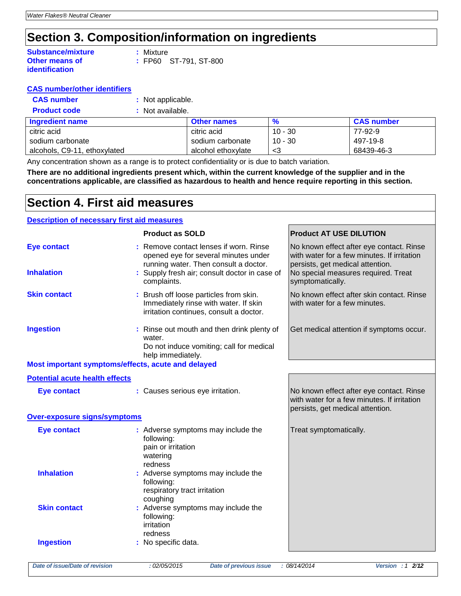### **Section 3. Composition/information on ingredients**

| <b>Substance/mixture</b> | : Mixture  |
|--------------------------|------------|
| <b>Other means of</b>    | $\pm$ FP60 |
| identification           |            |

| : Mixture |                       |
|-----------|-----------------------|
|           | : FP60 ST-791, ST-800 |

#### **CAS number/other identifiers**

| <b>CAS number</b>   | : Not applicable. |
|---------------------|-------------------|
| <b>Product code</b> | : Not available.  |

| <b>Ingredient name</b>       | <b>Other names</b> | %         | <b>CAS number</b> |
|------------------------------|--------------------|-----------|-------------------|
| citric acid                  | citric acid        | $10 - 30$ | 77-92-9           |
| sodium carbonate             | sodium carbonate   | $10 - 30$ | 497-19-8          |
| alcohols, C9-11, ethoxylated | alcohol ethoxvlate | - 3       | 68439-46-3        |

Any concentration shown as a range is to protect confidentiality or is due to batch variation.

**There are no additional ingredients present which, within the current knowledge of the supplier and in the concentrations applicable, are classified as hazardous to health and hence require reporting in this section.**

### **Section 4. First aid measures**

### **Description of necessary first aid measures**

|                                                    | <b>Product as SOLD</b>                                                                                                     | <b>Product AT USE DILUTION</b>                                                                                              |
|----------------------------------------------------|----------------------------------------------------------------------------------------------------------------------------|-----------------------------------------------------------------------------------------------------------------------------|
| <b>Eye contact</b>                                 | : Remove contact lenses if worn. Rinse<br>opened eye for several minutes under<br>running water. Then consult a doctor.    | No known effect after eye contact. Rinse<br>with water for a few minutes. If irritation<br>persists, get medical attention. |
| <b>Inhalation</b>                                  | : Supply fresh air; consult doctor in case of<br>complaints.                                                               | No special measures required. Treat<br>symptomatically.                                                                     |
| <b>Skin contact</b>                                | : Brush off loose particles from skin.<br>Immediately rinse with water. If skin<br>irritation continues, consult a doctor. | No known effect after skin contact. Rinse<br>with water for a few minutes.                                                  |
| <b>Ingestion</b>                                   | : Rinse out mouth and then drink plenty of<br>water.<br>Do not induce vomiting; call for medical<br>help immediately.      | Get medical attention if symptoms occur.                                                                                    |
| Most important symptoms/effects, acute and delayed |                                                                                                                            |                                                                                                                             |
| <b>Potential acute health effects</b>              |                                                                                                                            |                                                                                                                             |
| <b>Eye contact</b>                                 | : Causes serious eye irritation.                                                                                           | No known effect after eye contact. Rinse<br>with water for a few minutes. If irritation<br>persists, get medical attention. |
| Over-exposure signs/symptoms                       |                                                                                                                            |                                                                                                                             |
| <b>Eye contact</b>                                 | : Adverse symptoms may include the<br>following:<br>pain or irritation<br>watering<br>redness                              | Treat symptomatically.                                                                                                      |
| <b>Inhalation</b>                                  | : Adverse symptoms may include the<br>following:<br>respiratory tract irritation<br>coughing                               |                                                                                                                             |
| <b>Skin contact</b>                                | : Adverse symptoms may include the<br>following:<br>irritation<br>redness                                                  |                                                                                                                             |
| <b>Ingestion</b>                                   | : No specific data.                                                                                                        |                                                                                                                             |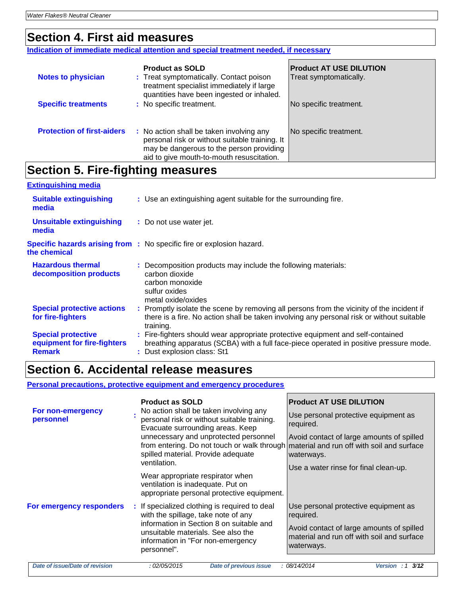### **Section 4. First aid measures**

**Indication of immediate medical attention and special treatment needed, if necessary**

| <b>Notes to physician</b>         | <b>Product as SOLD</b><br>: Treat symptomatically. Contact poison<br>treatment specialist immediately if large<br>quantities have been ingested or inhaled.                         | <b>Product AT USE DILUTION</b><br>Treat symptomatically. |
|-----------------------------------|-------------------------------------------------------------------------------------------------------------------------------------------------------------------------------------|----------------------------------------------------------|
| <b>Specific treatments</b>        | : No specific treatment.                                                                                                                                                            | No specific treatment.                                   |
| <b>Protection of first-aiders</b> | : No action shall be taken involving any<br>personal risk or without suitable training. It<br>may be dangerous to the person providing<br>aid to give mouth-to-mouth resuscitation. | No specific treatment.                                   |

### **Section 5. Fire-fighting measures**

| <b>Extinguishing media</b>                                                |                                                                                                                                                                                                         |
|---------------------------------------------------------------------------|---------------------------------------------------------------------------------------------------------------------------------------------------------------------------------------------------------|
| <b>Suitable extinguishing</b><br>media                                    | : Use an extinguishing agent suitable for the surrounding fire.                                                                                                                                         |
| <b>Unsuitable extinguishing</b><br>media                                  | : Do not use water jet.                                                                                                                                                                                 |
| the chemical                                                              | <b>Specific hazards arising from :</b> No specific fire or explosion hazard.                                                                                                                            |
| <b>Hazardous thermal</b><br>decomposition products                        | : Decomposition products may include the following materials:<br>carbon dioxide<br>carbon monoxide<br>sulfur oxides<br>metal oxide/oxides                                                               |
| <b>Special protective actions</b><br>for fire-fighters                    | : Promptly isolate the scene by removing all persons from the vicinity of the incident if<br>there is a fire. No action shall be taken involving any personal risk or without suitable<br>training.     |
| <b>Special protective</b><br>equipment for fire-fighters<br><b>Remark</b> | : Fire-fighters should wear appropriate protective equipment and self-contained<br>breathing apparatus (SCBA) with a full face-piece operated in positive pressure mode.<br>: Dust explosion class: St1 |

### **Section 6. Accidental release measures**

**Personal precautions, protective equipment and emergency procedures**

| For non-emergency<br>personnel | <b>Product as SOLD</b><br>No action shall be taken involving any<br>personal risk or without suitable training.<br>Evacuate surrounding areas. Keep<br>unnecessary and unprotected personnel<br>from entering. Do not touch or walk through<br>spilled material. Provide adequate<br>ventilation.<br>Wear appropriate respirator when<br>ventilation is inadequate. Put on<br>appropriate personal protective equipment. | <b>Product AT USE DILUTION</b><br>Use personal protective equipment as<br>required.<br>Avoid contact of large amounts of spilled<br>material and run off with soil and surface<br>waterways.<br>Use a water rinse for final clean-up. |
|--------------------------------|--------------------------------------------------------------------------------------------------------------------------------------------------------------------------------------------------------------------------------------------------------------------------------------------------------------------------------------------------------------------------------------------------------------------------|---------------------------------------------------------------------------------------------------------------------------------------------------------------------------------------------------------------------------------------|
| For emergency responders       | : If specialized clothing is required to deal<br>with the spillage, take note of any<br>information in Section 8 on suitable and<br>unsuitable materials. See also the<br>information in "For non-emergency<br>personnel".                                                                                                                                                                                               | Use personal protective equipment as<br>required.<br>Avoid contact of large amounts of spilled<br>material and run off with soil and surface<br>waterways.                                                                            |
| Date of issue/Date of revision | <b>Date of previous issue</b><br>: 02/05/2015                                                                                                                                                                                                                                                                                                                                                                            | 3/12<br>: 08/14/2014<br>Version: 1                                                                                                                                                                                                    |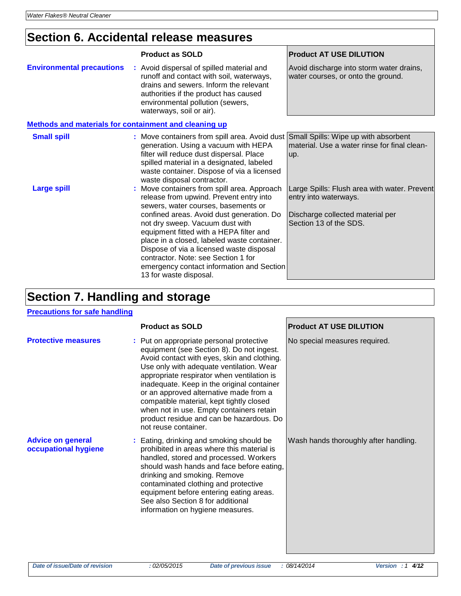### **Section 6. Accidental release measures**

|                                                              | <b>Product as SOLD</b>                                                                                                                                                                                                                                                                                                                                                                                                                                            | <b>Product AT USE DILUTION</b>                                                                                                      |
|--------------------------------------------------------------|-------------------------------------------------------------------------------------------------------------------------------------------------------------------------------------------------------------------------------------------------------------------------------------------------------------------------------------------------------------------------------------------------------------------------------------------------------------------|-------------------------------------------------------------------------------------------------------------------------------------|
| <b>Environmental precautions</b>                             | : Avoid dispersal of spilled material and<br>runoff and contact with soil, waterways,<br>drains and sewers. Inform the relevant<br>authorities if the product has caused<br>environmental pollution (sewers,<br>waterways, soil or air).                                                                                                                                                                                                                          | Avoid discharge into storm water drains,<br>water courses, or onto the ground.                                                      |
| <b>Methods and materials for containment and cleaning up</b> |                                                                                                                                                                                                                                                                                                                                                                                                                                                                   |                                                                                                                                     |
| <b>Small spill</b>                                           | : Move containers from spill area. Avoid dust Small Spills: Wipe up with absorbent<br>generation. Using a vacuum with HEPA<br>filter will reduce dust dispersal. Place<br>spilled material in a designated, labeled<br>waste container. Dispose of via a licensed<br>waste disposal contractor.                                                                                                                                                                   | material. Use a water rinse for final clean-<br>up.                                                                                 |
| <b>Large spill</b>                                           | : Move containers from spill area. Approach<br>release from upwind. Prevent entry into<br>sewers, water courses, basements or<br>confined areas. Avoid dust generation. Do<br>not dry sweep. Vacuum dust with<br>equipment fitted with a HEPA filter and<br>place in a closed, labeled waste container.<br>Dispose of via a licensed waste disposal<br>contractor. Note: see Section 1 for<br>emergency contact information and Section<br>13 for waste disposal. | Large Spills: Flush area with water. Prevent<br>entry into waterways.<br>Discharge collected material per<br>Section 13 of the SDS. |

## **Section 7. Handling and storage**

#### **Precautions for safe handling**

|                                                  | <b>Product as SOLD</b>                                                                                                                                                                                                                                                                                                                                                                                                                                                             | <b>Product AT USE DILUTION</b>        |
|--------------------------------------------------|------------------------------------------------------------------------------------------------------------------------------------------------------------------------------------------------------------------------------------------------------------------------------------------------------------------------------------------------------------------------------------------------------------------------------------------------------------------------------------|---------------------------------------|
| <b>Protective measures</b>                       | : Put on appropriate personal protective<br>equipment (see Section 8). Do not ingest.<br>Avoid contact with eyes, skin and clothing.<br>Use only with adequate ventilation. Wear<br>appropriate respirator when ventilation is<br>inadequate. Keep in the original container<br>or an approved alternative made from a<br>compatible material, kept tightly closed<br>when not in use. Empty containers retain<br>product residue and can be hazardous. Do<br>not reuse container. | No special measures required.         |
| <b>Advice on general</b><br>occupational hygiene | : Eating, drinking and smoking should be<br>prohibited in areas where this material is<br>handled, stored and processed. Workers<br>should wash hands and face before eating,<br>drinking and smoking. Remove<br>contaminated clothing and protective<br>equipment before entering eating areas.<br>See also Section 8 for additional<br>information on hygiene measures.                                                                                                          | Wash hands thoroughly after handling. |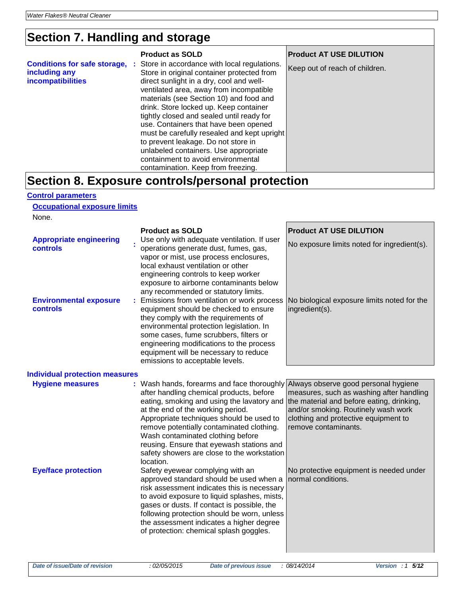## **Section 7. Handling and storage**

|                                                                           | <b>Product as SOLD</b>                                                                                                                                                                                                                                                                                                                                                                                                                                                                                                                                                   | <b>Product AT USE DILUTION</b> |
|---------------------------------------------------------------------------|--------------------------------------------------------------------------------------------------------------------------------------------------------------------------------------------------------------------------------------------------------------------------------------------------------------------------------------------------------------------------------------------------------------------------------------------------------------------------------------------------------------------------------------------------------------------------|--------------------------------|
| <b>Conditions for safe storage,</b><br>including any<br>incompatibilities | : Store in accordance with local regulations.<br>Store in original container protected from<br>direct sunlight in a dry, cool and well-<br>ventilated area, away from incompatible<br>materials (see Section 10) and food and<br>drink. Store locked up. Keep container<br>tightly closed and sealed until ready for<br>use. Containers that have been opened<br>must be carefully resealed and kept upright<br>to prevent leakage. Do not store in<br>unlabeled containers. Use appropriate<br>containment to avoid environmental<br>contamination. Keep from freezing. | Keep out of reach of children. |
|                                                                           | Section 8. Exposure controls/personal protection                                                                                                                                                                                                                                                                                                                                                                                                                                                                                                                         |                                |

#### **Control parameters**

**Occupational exposure limits**

None.

|                                                   | <b>Product as SOLD</b>                                                                                                                                                                                                                                                                                                                                                                                                                                | <b>Product AT USE DILUTION</b>                                                                                                                                                               |
|---------------------------------------------------|-------------------------------------------------------------------------------------------------------------------------------------------------------------------------------------------------------------------------------------------------------------------------------------------------------------------------------------------------------------------------------------------------------------------------------------------------------|----------------------------------------------------------------------------------------------------------------------------------------------------------------------------------------------|
| <b>Appropriate engineering</b><br><b>controls</b> | Use only with adequate ventilation. If user<br>operations generate dust, fumes, gas,<br>vapor or mist, use process enclosures,<br>local exhaust ventilation or other<br>engineering controls to keep worker<br>exposure to airborne contaminants below<br>any recommended or statutory limits.                                                                                                                                                        | No exposure limits noted for ingredient(s).                                                                                                                                                  |
| <b>Environmental exposure</b><br><b>controls</b>  | Emissions from ventilation or work process<br>equipment should be checked to ensure<br>they comply with the requirements of<br>environmental protection legislation. In<br>some cases, fume scrubbers, filters or<br>engineering modifications to the process<br>equipment will be necessary to reduce<br>emissions to acceptable levels.                                                                                                             | No biological exposure limits noted for the<br>ingredient(s).                                                                                                                                |
| <b>Individual protection measures</b>             |                                                                                                                                                                                                                                                                                                                                                                                                                                                       |                                                                                                                                                                                              |
| <b>Hygiene measures</b>                           | : Wash hands, forearms and face thoroughly Always observe good personal hygiene<br>after handling chemical products, before<br>eating, smoking and using the lavatory and<br>at the end of the working period.<br>Appropriate techniques should be used to<br>remove potentially contaminated clothing.<br>Wash contaminated clothing before<br>reusing. Ensure that eyewash stations and<br>safety showers are close to the workstation<br>location. | measures, such as washing after handling<br>the material and before eating, drinking,<br>and/or smoking. Routinely wash work<br>clothing and protective equipment to<br>remove contaminants. |
| <b>Eye/face protection</b>                        | Safety eyewear complying with an<br>approved standard should be used when a<br>risk assessment indicates this is necessary<br>to avoid exposure to liquid splashes, mists,<br>gases or dusts. If contact is possible, the<br>following protection should be worn, unless<br>the assessment indicates a higher degree<br>of protection: chemical splash goggles.                                                                                       | No protective equipment is needed under<br>normal conditions.                                                                                                                                |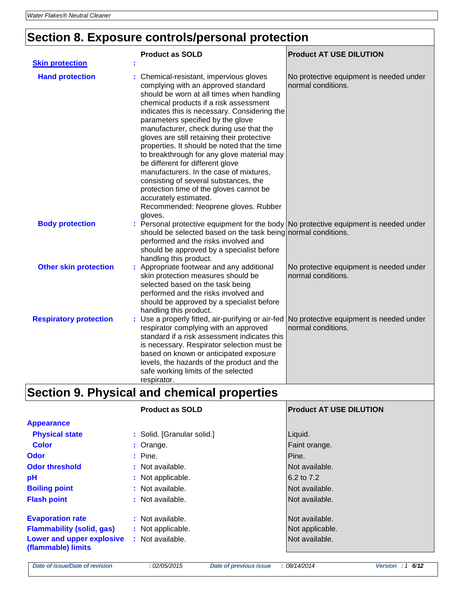# **Section 8. Exposure controls/personal protection**

| <b>Skin protection</b>        | <b>Product as SOLD</b>                                                                                                                                                                                                                                                                                                                                                                                                                                                                                                                                                                                                                                                                            | <b>Product AT USE DILUTION</b>                                                       |
|-------------------------------|---------------------------------------------------------------------------------------------------------------------------------------------------------------------------------------------------------------------------------------------------------------------------------------------------------------------------------------------------------------------------------------------------------------------------------------------------------------------------------------------------------------------------------------------------------------------------------------------------------------------------------------------------------------------------------------------------|--------------------------------------------------------------------------------------|
| <b>Hand protection</b>        | : Chemical-resistant, impervious gloves<br>complying with an approved standard<br>should be worn at all times when handling<br>chemical products if a risk assessment<br>indicates this is necessary. Considering the<br>parameters specified by the glove<br>manufacturer, check during use that the<br>gloves are still retaining their protective<br>properties. It should be noted that the time<br>to breakthrough for any glove material may<br>be different for different glove<br>manufacturers. In the case of mixtures,<br>consisting of several substances, the<br>protection time of the gloves cannot be<br>accurately estimated.<br>Recommended: Neoprene gloves. Rubber<br>gloves. | No protective equipment is needed under<br>normal conditions.                        |
| <b>Body protection</b>        | should be selected based on the task being normal conditions.<br>performed and the risks involved and<br>should be approved by a specialist before<br>handling this product.                                                                                                                                                                                                                                                                                                                                                                                                                                                                                                                      | : Personal protective equipment for the body No protective equipment is needed under |
| <b>Other skin protection</b>  | : Appropriate footwear and any additional<br>skin protection measures should be<br>selected based on the task being<br>performed and the risks involved and<br>should be approved by a specialist before<br>handling this product.                                                                                                                                                                                                                                                                                                                                                                                                                                                                | No protective equipment is needed under<br>normal conditions.                        |
| <b>Respiratory protection</b> | : Use a properly fitted, air-purifying or air-fed<br>respirator complying with an approved<br>standard if a risk assessment indicates this<br>is necessary. Respirator selection must be<br>based on known or anticipated exposure<br>levels, the hazards of the product and the<br>safe working limits of the selected<br>respirator.                                                                                                                                                                                                                                                                                                                                                            | No protective equipment is needed under<br>normal conditions.                        |

# **Section 9. Physical and chemical properties**

|                                                                                                                | <b>Product as SOLD</b>                                    | <b>Product AT USE DILUTION</b>                      |
|----------------------------------------------------------------------------------------------------------------|-----------------------------------------------------------|-----------------------------------------------------|
| <b>Appearance</b>                                                                                              |                                                           |                                                     |
| <b>Physical state</b>                                                                                          | : Solid. [Granular solid.]                                | Liquid.                                             |
| <b>Color</b>                                                                                                   | : Orange.                                                 | Faint orange.                                       |
| <b>Odor</b>                                                                                                    | $:$ Pine.                                                 | Pine.                                               |
| <b>Odor threshold</b>                                                                                          | : Not available.                                          | Not available.                                      |
| pH                                                                                                             | : Not applicable.                                         | 6.2 to 7.2                                          |
| <b>Boiling point</b>                                                                                           | : Not available.                                          | Not available.                                      |
| <b>Flash point</b>                                                                                             | : Not available.                                          | Not available.                                      |
| <b>Evaporation rate</b><br><b>Flammability (solid, gas)</b><br>Lower and upper explosive<br>(flammable) limits | : Not available.<br>: Not applicable.<br>: Not available. | Not available.<br>Not applicable.<br>Not available. |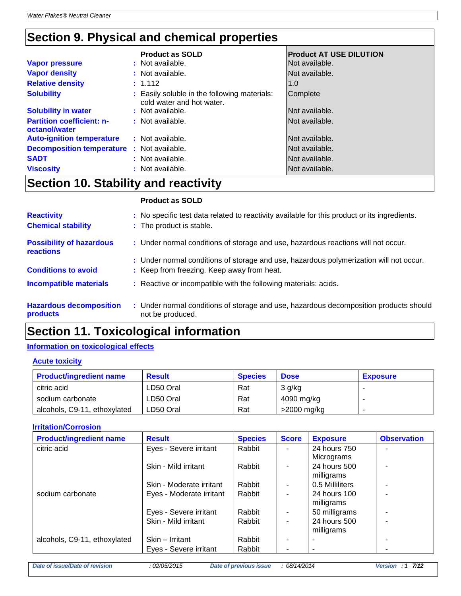## **Section 9. Physical and chemical properties**

| <b>Vapor pressure</b>                             | <b>Product as SOLD</b><br>: Not available.                                | <b>Product AT USE DILUTION</b><br>Not available. |
|---------------------------------------------------|---------------------------------------------------------------------------|--------------------------------------------------|
| <b>Vapor density</b>                              | : Not available.                                                          | Not available.                                   |
| <b>Relative density</b>                           | : 1.112                                                                   | 1.0                                              |
| <b>Solubility</b>                                 | : Easily soluble in the following materials:<br>cold water and hot water. | Complete                                         |
| <b>Solubility in water</b>                        | : Not available.                                                          | Not available.                                   |
| <b>Partition coefficient: n-</b><br>octanol/water | : Not available.                                                          | Not available.                                   |
| <b>Auto-ignition temperature</b>                  | : Not available.                                                          | Not available.                                   |
| <b>Decomposition temperature : Not available.</b> |                                                                           | Not available.                                   |
| <b>SADT</b>                                       | : Not available.                                                          | Not available.                                   |
| <b>Viscosity</b>                                  | : Not available.                                                          | Not available.                                   |

### **Section 10. Stability and reactivity**

### **Product as SOLD**

| <b>Reactivity</b><br><b>Chemical stability</b>      | : No specific test data related to reactivity available for this product or its ingredients.<br>: The product is stable. |
|-----------------------------------------------------|--------------------------------------------------------------------------------------------------------------------------|
| <b>Possibility of hazardous</b><br><b>reactions</b> | : Under normal conditions of storage and use, hazardous reactions will not occur.                                        |
|                                                     | : Under normal conditions of storage and use, hazardous polymerization will not occur.                                   |
| <b>Conditions to avoid</b>                          | : Keep from freezing. Keep away from heat.                                                                               |
| <b>Incompatible materials</b>                       | : Reactive or incompatible with the following materials: acids.                                                          |
| <b>Hazardous decomposition</b><br>products          | : Under normal conditions of storage and use, hazardous decomposition products should<br>not be produced.                |

### **Section 11. Toxicological information**

### **Information on toxicological effects**

#### **Acute toxicity**

| <b>Product/ingredient name</b> | Result    | <b>Species</b> | <b>Dose</b>   | <b>Exposure</b> |
|--------------------------------|-----------|----------------|---------------|-----------------|
| citric acid                    | LD50 Oral | Rat            | 3 g/kg        |                 |
| sodium carbonate               | LD50 Oral | Rat            | 4090 mg/kg    |                 |
| alcohols, C9-11, ethoxylated   | LD50 Oral | Rat            | $>2000$ mg/kg |                 |

#### **Irritation/Corrosion**

| <b>Product/ingredient name</b> | <b>Result</b>            | <b>Species</b> | <b>Score</b> | <b>Exposure</b>          | <b>Observation</b> |
|--------------------------------|--------------------------|----------------|--------------|--------------------------|--------------------|
| citric acid                    | Eyes - Severe irritant   | Rabbit         |              | 24 hours 750             |                    |
|                                |                          |                |              | Micrograms               |                    |
|                                | Skin - Mild irritant     | Rabbit         |              | 24 hours 500             |                    |
|                                |                          |                |              | milligrams               |                    |
|                                | Skin - Moderate irritant | Rabbit         | ٠            | 0.5 Milliliters          |                    |
| sodium carbonate               | Eyes - Moderate irritant | Rabbit         | ٠            | 24 hours 100             |                    |
|                                |                          |                |              | milligrams               |                    |
|                                | Eyes - Severe irritant   | Rabbit         | ٠            | 50 milligrams            |                    |
|                                | Skin - Mild irritant     | Rabbit         | ٠            | 24 hours 500             |                    |
|                                |                          |                |              | milligrams               |                    |
| alcohols, C9-11, ethoxylated   | Skin – Irritant          | Rabbit         |              |                          |                    |
|                                | Eyes - Severe irritant   | Rabbit         | ۰            | $\overline{\phantom{0}}$ |                    |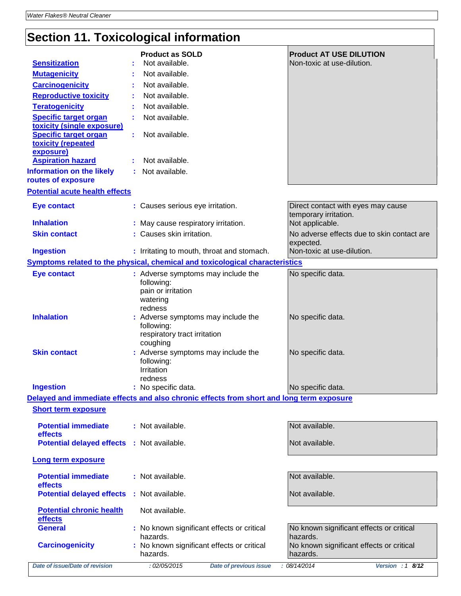# **Section 11. Toxicological information**

| <b>Sensitization</b>                                                                       | <b>Product as SOLD</b><br>Not available.                                                                                   | <b>Product AT USE DILUTION</b><br>Non-toxic at use-dilution.                   |
|--------------------------------------------------------------------------------------------|----------------------------------------------------------------------------------------------------------------------------|--------------------------------------------------------------------------------|
| <b>Mutagenicity</b>                                                                        | Not available.                                                                                                             |                                                                                |
| <b>Carcinogenicity</b>                                                                     | Not available.                                                                                                             |                                                                                |
| <b>Reproductive toxicity</b>                                                               |                                                                                                                            |                                                                                |
| <b>Teratogenicity</b>                                                                      | Not available.<br>Not available.                                                                                           |                                                                                |
|                                                                                            | Not available.                                                                                                             |                                                                                |
| <b>Specific target organ</b><br>toxicity (single exposure)<br><b>Specific target organ</b> | Not available.                                                                                                             |                                                                                |
| toxicity (repeated<br>exposure)                                                            | ÷.                                                                                                                         |                                                                                |
| <b>Aspiration hazard</b>                                                                   | Not available.                                                                                                             |                                                                                |
| <b>Information on the likely</b><br>routes of exposure                                     | Not available.                                                                                                             |                                                                                |
| <b>Potential acute health effects</b>                                                      |                                                                                                                            |                                                                                |
|                                                                                            |                                                                                                                            |                                                                                |
| <b>Eye contact</b><br><b>Inhalation</b>                                                    | : Causes serious eye irritation.<br>: May cause respiratory irritation.                                                    | Direct contact with eyes may cause<br>temporary irritation.<br>Not applicable. |
| <b>Skin contact</b>                                                                        | : Causes skin irritation.                                                                                                  | No adverse effects due to skin contact are                                     |
| <b>Ingestion</b>                                                                           |                                                                                                                            | expected.<br>Non-toxic at use-dilution.                                        |
|                                                                                            | : Irritating to mouth, throat and stomach.<br>Symptoms related to the physical, chemical and toxicological characteristics |                                                                                |
|                                                                                            |                                                                                                                            |                                                                                |
| <b>Eye contact</b>                                                                         | : Adverse symptoms may include the<br>following:<br>pain or irritation<br>watering                                         | No specific data.                                                              |
| <b>Inhalation</b>                                                                          | redness<br>: Adverse symptoms may include the<br>following:<br>respiratory tract irritation                                | No specific data.                                                              |
| <b>Skin contact</b>                                                                        | coughing<br>: Adverse symptoms may include the<br>following:<br>Irritation<br>redness                                      | No specific data.                                                              |
| <b>Ingestion</b>                                                                           | : No specific data.                                                                                                        | No specific data.                                                              |
|                                                                                            | Delayed and immediate effects and also chronic effects from short and long term exposure                                   |                                                                                |
| <b>Short term exposure</b>                                                                 |                                                                                                                            |                                                                                |
| <b>Potential immediate</b><br>effects                                                      | : Not available.                                                                                                           | Not available.                                                                 |
| <b>Potential delayed effects : Not available.</b>                                          |                                                                                                                            | Not available.                                                                 |
| Long term exposure                                                                         |                                                                                                                            |                                                                                |
| <b>Potential immediate</b><br>effects                                                      | : Not available.                                                                                                           | Not available.                                                                 |
| <b>Potential delayed effects</b>                                                           | : Not available.                                                                                                           | Not available.                                                                 |
| <b>Potential chronic health</b><br>effects                                                 | Not available.                                                                                                             |                                                                                |
| <b>General</b>                                                                             | : No known significant effects or critical<br>hazards.                                                                     | No known significant effects or critical<br>hazards.                           |
| <b>Carcinogenicity</b>                                                                     | : No known significant effects or critical<br>hazards.                                                                     | No known significant effects or critical<br>hazards.                           |
| Date of issue/Date of revision                                                             | : 02/05/2015<br><b>Date of previous issue</b>                                                                              | : 08/14/2014<br>Version : 1 8/12                                               |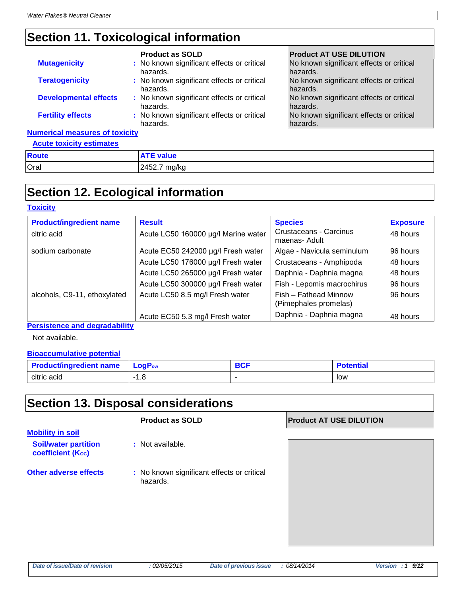### **Section 11. Toxicological information**

|                                       | <b>Product as SOLD</b>                                 | <b>Product AT USE DILUTION</b>                       |
|---------------------------------------|--------------------------------------------------------|------------------------------------------------------|
| <b>Mutagenicity</b>                   | : No known significant effects or critical<br>hazards. | No known significant effects or critical<br>hazards. |
| <b>Teratogenicity</b>                 | : No known significant effects or critical<br>hazards. | No known significant effects or critical<br>hazards. |
| <b>Developmental effects</b>          | : No known significant effects or critical<br>hazards. | No known significant effects or critical<br>hazards. |
| <b>Fertility effects</b>              | : No known significant effects or critical<br>hazards. | No known significant effects or critical<br>hazards. |
| <b>Numerical measures of toxicity</b> |                                                        |                                                      |
| <b>Acute toxicity estimates</b>       |                                                        |                                                      |

| <b>Route</b> | ------<br><b>value</b> |
|--------------|------------------------|
| Oral         | mg/kg<br>2452.7        |

### **Section 12. Ecological information**

#### **Toxicity**

| <b>Product/ingredient name</b> | <b>Result</b>                       | <b>Species</b>                                 | <b>Exposure</b> |
|--------------------------------|-------------------------------------|------------------------------------------------|-----------------|
| citric acid                    | Acute LC50 160000 µg/l Marine water | Crustaceans - Carcinus<br>maenas- Adult        | 48 hours        |
| sodium carbonate               | Acute EC50 242000 µg/l Fresh water  | Algae - Navicula seminulum                     | 96 hours        |
|                                | Acute LC50 176000 µg/l Fresh water  | Crustaceans - Amphipoda                        | 48 hours        |
|                                | Acute LC50 265000 µg/l Fresh water  | Daphnia - Daphnia magna                        | 48 hours        |
|                                | Acute LC50 300000 µg/l Fresh water  | Fish - Lepomis macrochirus                     | 96 hours        |
| alcohols, C9-11, ethoxylated   | Acute LC50 8.5 mg/l Fresh water     | Fish - Fathead Minnow<br>(Pimephales promelas) | 96 hours        |
|                                | Acute EC50 5.3 mg/l Fresh water     | Daphnia - Daphnia magna                        | 48 hours        |

**Persistence and degradability**

Not available.

#### **Bioaccumulative potential**

| <b>Product/ingredient name</b> | <b>LogPow</b> | המר | Potential |
|--------------------------------|---------------|-----|-----------|
| citric acid                    | ı.o           | -   | low       |

### **Section 13. Disposal considerations**

### **Product as SOLD Product AT USE DILUTION**

**Mobility in soil Soil/water partition coefficient (Koc)** 

- **:** Not available.
- **Other adverse effects** : No known significant effects or critical hazards.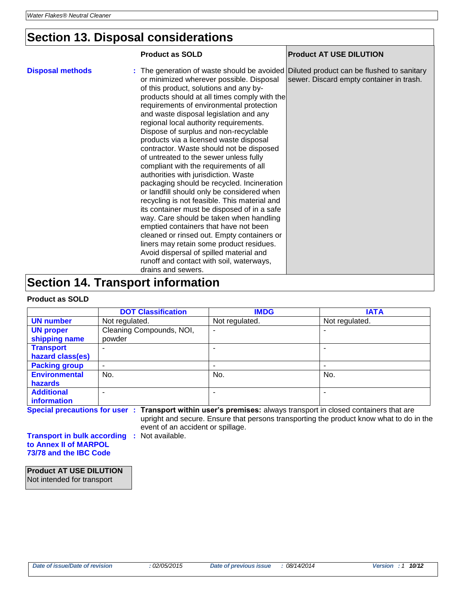### **Section 13. Disposal considerations**

|                                          | <b>Product as SOLD</b>                                                                                                                                                                                                                                                                                                                                                                                                                                                                                                                                                                                                                                                                                                                                                                                                                                                                                                                                                                                                                                                                                        | <b>Product AT USE DILUTION</b>           |
|------------------------------------------|---------------------------------------------------------------------------------------------------------------------------------------------------------------------------------------------------------------------------------------------------------------------------------------------------------------------------------------------------------------------------------------------------------------------------------------------------------------------------------------------------------------------------------------------------------------------------------------------------------------------------------------------------------------------------------------------------------------------------------------------------------------------------------------------------------------------------------------------------------------------------------------------------------------------------------------------------------------------------------------------------------------------------------------------------------------------------------------------------------------|------------------------------------------|
| <b>Disposal methods</b>                  | : The generation of waste should be avoided Diluted product can be flushed to sanitary<br>or minimized wherever possible. Disposal<br>of this product, solutions and any by-<br>products should at all times comply with the<br>requirements of environmental protection<br>and waste disposal legislation and any<br>regional local authority requirements.<br>Dispose of surplus and non-recyclable<br>products via a licensed waste disposal<br>contractor. Waste should not be disposed<br>of untreated to the sewer unless fully<br>compliant with the requirements of all<br>authorities with jurisdiction. Waste<br>packaging should be recycled. Incineration<br>or landfill should only be considered when<br>recycling is not feasible. This material and<br>its container must be disposed of in a safe<br>way. Care should be taken when handling<br>emptied containers that have not been<br>cleaned or rinsed out. Empty containers or<br>liners may retain some product residues.<br>Avoid dispersal of spilled material and<br>runoff and contact with soil, waterways,<br>drains and sewers. | sewer. Discard empty container in trash. |
| <b>Section 14. Transport information</b> |                                                                                                                                                                                                                                                                                                                                                                                                                                                                                                                                                                                                                                                                                                                                                                                                                                                                                                                                                                                                                                                                                                               |                                          |

#### **Product as SOLD**

|                      | <b>DOT Classification</b> | <b>IMDG</b>    | <b>IATA</b>    |
|----------------------|---------------------------|----------------|----------------|
| <b>UN number</b>     | Not regulated.            | Not regulated. | Not regulated. |
| <b>UN proper</b>     | Cleaning Compounds, NOI,  | ۰              |                |
| shipping name        | powder                    |                |                |
| <b>Transport</b>     |                           |                |                |
| hazard class(es)     |                           |                |                |
| <b>Packing group</b> | ٠                         |                |                |
| <b>Environmental</b> | No.                       | No.            | No.            |
| hazards              |                           |                |                |
| <b>Additional</b>    | ۰                         |                | -              |
| information          |                           |                |                |

**Special precautions for user : Transport within user's premises:** always transport in closed containers that are upright and secure. Ensure that persons transporting the product know what to do in the

event of an accident or spillage.

**Transport in bulk according :** Not available. **to Annex II of MARPOL 73/78 and the IBC Code**

**Product AT USE DILUTION** Not intended for transport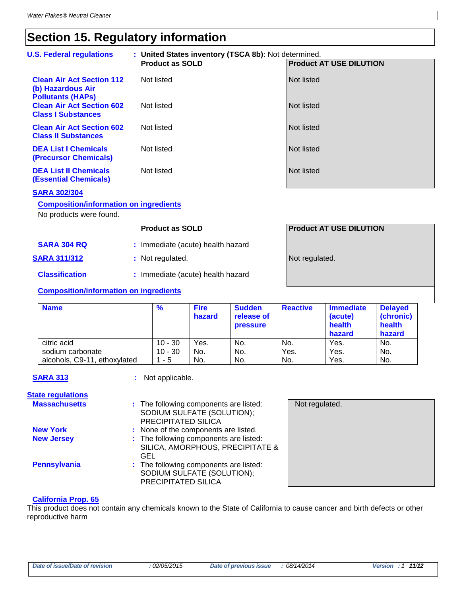# **Section 15. Regulatory information**

| <b>U.S. Federal regulations</b>                                                   | : United States inventory (TSCA 8b): Not determined. |                                |  |
|-----------------------------------------------------------------------------------|------------------------------------------------------|--------------------------------|--|
|                                                                                   | <b>Product as SOLD</b>                               | <b>Product AT USE DILUTION</b> |  |
| <b>Clean Air Act Section 112</b><br>(b) Hazardous Air<br><b>Pollutants (HAPS)</b> | Not listed                                           | Not listed                     |  |
| <b>Clean Air Act Section 602</b><br><b>Class I Substances</b>                     | Not listed                                           | Not listed                     |  |
| <b>Clean Air Act Section 602</b><br><b>Class II Substances</b>                    | Not listed                                           | <b>Not listed</b>              |  |
| <b>DEA List I Chemicals</b><br><b>(Precursor Chemicals)</b>                       | Not listed                                           | Not listed                     |  |
| <b>DEA List II Chemicals</b><br><b>(Essential Chemicals)</b>                      | Not listed                                           | Not listed                     |  |

### **SARA 302/304**

### **Composition/information on ingredients**

No products were found.

|                                        | <b>Product as SOLD</b>            | <b>Product AT USE DILUTION</b> |
|----------------------------------------|-----------------------------------|--------------------------------|
| <b>SARA 304 RQ</b>                     | : Immediate (acute) health hazard |                                |
| <b>SARA 311/312</b>                    | : Not regulated.                  | Not regulated.                 |
| <b>Classification</b>                  | : Immediate (acute) health hazard |                                |
| Composition/information on ingradiants |                                   |                                |

#### **Composition/information on ingredients**

| <b>Name</b>                  | $\frac{9}{6}$ | <b>Fire</b><br>hazard | <b>Sudden</b><br>release of<br><b>pressure</b> | <b>Reactive</b> | <b>Immediate</b><br>(acute)<br>health<br>hazard | <b>Delayed</b><br>(chronic)<br>health<br>hazard |
|------------------------------|---------------|-----------------------|------------------------------------------------|-----------------|-------------------------------------------------|-------------------------------------------------|
| citric acid                  | $10 - 30$     | Yes.                  | No.                                            | No.             | Yes.                                            | No.                                             |
| sodium carbonate             | $10 - 30$     | No.                   | No.                                            | Yes.            | Yes.                                            | No.                                             |
| alcohols, C9-11, ethoxylated | $1 - 5$       | No.                   | No.                                            | No.             | Yes.                                            | No.                                             |

**SARA 313 :** Not applicable.

#### **State regulations**

| <b>Massachusetts</b> | : The following components are listed:<br>SODIUM SULFATE (SOLUTION);<br>PRECIPITATED SILICA |  |
|----------------------|---------------------------------------------------------------------------------------------|--|
| <b>New York</b>      | : None of the components are listed.                                                        |  |
| <b>New Jersey</b>    | : The following components are listed:<br>SILICA, AMORPHOUS, PRECIPITATE &<br>GEL           |  |
| <b>Pennsylvania</b>  | : The following components are listed:<br>SODIUM SULFATE (SOLUTION);<br>PRECIPITATED SILICA |  |

| Not regulated. |  |  |
|----------------|--|--|
|                |  |  |
|                |  |  |
|                |  |  |
|                |  |  |
|                |  |  |
|                |  |  |
|                |  |  |
|                |  |  |

#### **California Prop. 65**

This product does not contain any chemicals known to the State of California to cause cancer and birth defects or other reproductive harm